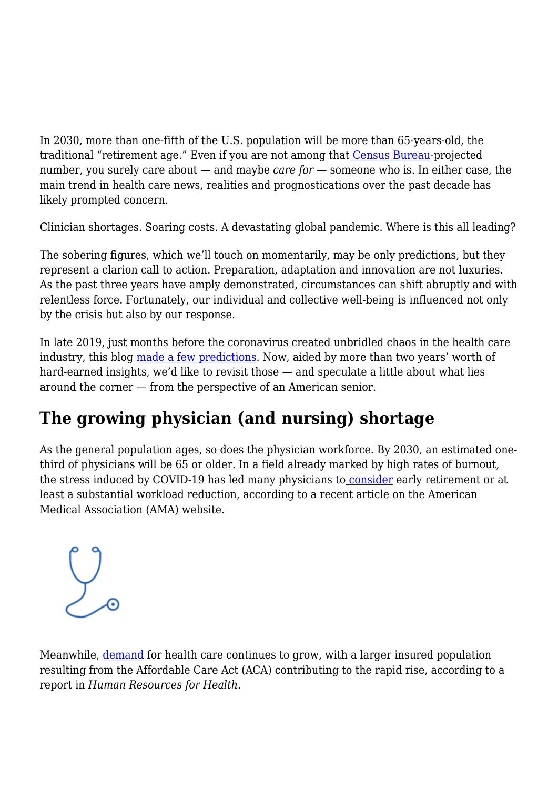In 2030, more than one-fifth of the U.S. population will be more than 65-years-old, the traditional "retirement age." Even if you are not among tha[t](https://www.census.gov/library/publications/2020/demo/p25-1144.html) [Census Bureau](https://www.census.gov/library/publications/2020/demo/p25-1144.html)-projected number, you surely care about — and maybe *care for* — someone who is. In either case, the main trend in health care news, realities and prognostications over the past decade has likely prompted concern.

Clinician shortages. Soaring costs. A devastating global pandemic. Where is this all leading?

The sobering figures, which we'll touch on momentarily, may be only predictions, but they represent a clarion call to action. Preparation, adaptation and innovation are not luxuries. As the past three years have amply demonstrated, circumstances can shift abruptly and with relentless force. Fortunately, our individual and collective well-being is influenced not only by the crisis but also by our response.

In late 2019, just months before the coronavirus created unbridled chaos in the health care industry, this blog [made a few predictions.](https://navihealth.com/essentialinsights/the-biggest-concerns-facing-seniors-in-2020/) Now, aided by more than two years' worth of hard-earned insights, we'd like to revisit those — and speculate a little about what lies around the corner — from the perspective of an American senior.

## **The growing physician (and nursing) shortage**

As the general population ages, so does the physician workforce. By 2030, an estimated onethird of physicians will be 65 or older. In a field already marked by high rates of burnout, the stress induced by COVID-19 has led many physicians t[o](https://www.ama-assn.org/practice-management/sustainability/how-aging-nation-covid-19-stretch-doctor-workforce-thin) [consider](https://www.ama-assn.org/practice-management/sustainability/how-aging-nation-covid-19-stretch-doctor-workforce-thin) early retirement or at least a substantial workload reduction, according to a recent article on the American Medical Association (AMA) website.



Meanwhile, [demand](https://www.ncbi.nlm.nih.gov/pmc/articles/PMC7006215/) for health care continues to grow, with a larger insured population resulting from the Affordable Care Act (ACA) contributing to the rapid rise, according to a report in *Human Resources for Health*.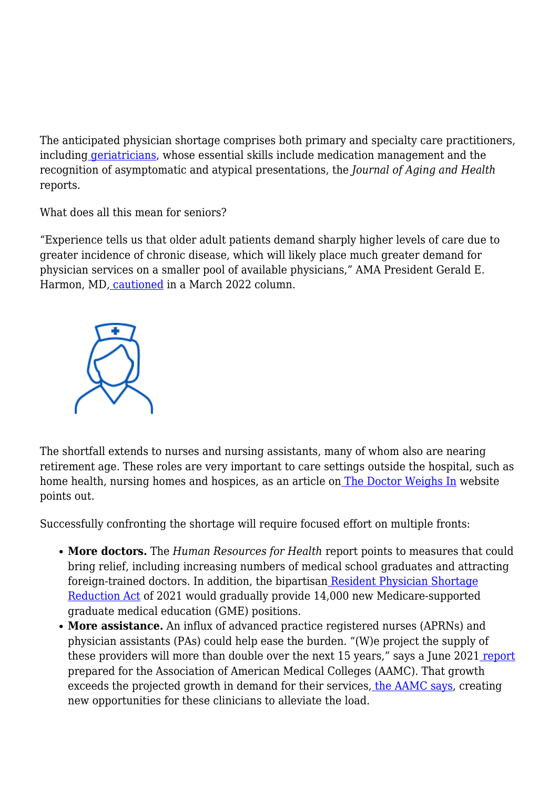The anticipated physician shortage comprises both primary and specialty care practitioners, including [geriatricians,](https://pubmed.ncbi.nlm.nih.gov/31583940/) whose essential skills include medication management and the recognition of asymptomatic and atypical presentations, the *Journal of Aging and Health* reports.

What does all this mean for seniors?

"Experience tells us that older adult patients demand sharply higher levels of care due to greater incidence of chronic disease, which will likely place much greater demand for physician services on a smaller pool of available physicians," AMA President Gerald E. Harmon, MD, [cautioned](https://www.ama-assn.org/about/leadership/why-we-must-act-now-ensure-adequate-physician-workforce) in a March 2022 column.



The shortfall extends to nurses and nursing assistants, many of whom also are nearing retirement age. These roles are very important to care settings outside the hospital, such as home health, nursing homes and hospices, as an article on [The Doctor Weighs In](https://thedoctorweighsin.com/healthcare-staff-shortagel-affect-seniors/) website points out.

Successfully confronting the shortage will require focused effort on multiple fronts:

- **More doctors.** The *Human Resources for Health* report points to measures that could bring relief, including increasing numbers of medical school graduates and attracting foreign-trained doctors. In addition, the bipartisan [Resident Physician Shortage](https://www.congress.gov/bill/117th-congress/senate-bill/834) [Reduction Act](https://www.congress.gov/bill/117th-congress/senate-bill/834) of 2021 would gradually provide 14,000 new Medicare-supported graduate medical education (GME) positions.
- **More assistance.** An influx of advanced practice registered nurses (APRNs) and physician assistants (PAs) could help ease the burden. "(W)e project the supply of these providers will more than double over the next 15 years," says a June 2021 [report](https://www.aamc.org/media/54681/download) prepared for the Association of American Medical Colleges (AAMC). That growth exceeds the projected growth in demand for their services, [the AAMC says](https://www.aamc.org/news-insights/aging-patients-and-doctors-drive-nation-s-physician-shortage), creating new opportunities for these clinicians to alleviate the load.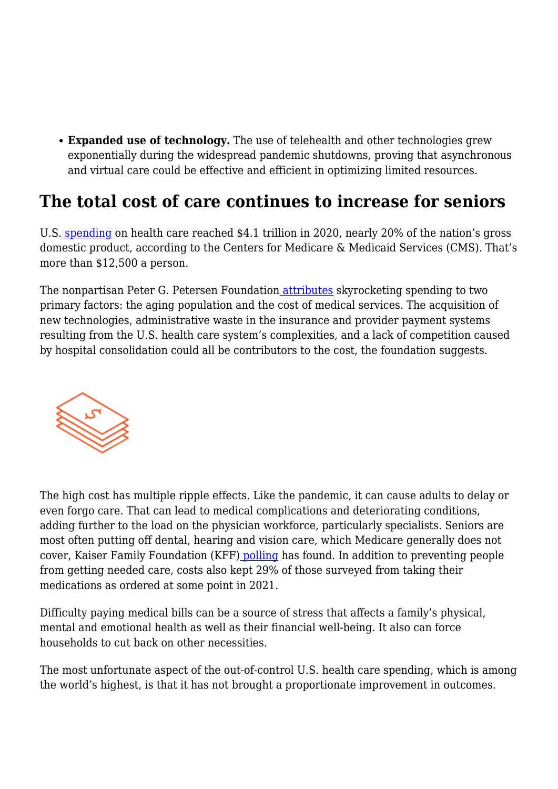**Expanded use of technology.** The use of telehealth and other technologies grew exponentially during the widespread pandemic shutdowns, proving that asynchronous and virtual care could be effective and efficient in optimizing limited resources.

## **The total cost of care continues to increase for seniors**

U.S. [spending](https://www.cms.gov/Research-Statistics-Data-and-Systems/Statistics-Trends-and-Reports/NationalHealthExpendData/NationalHealthAccountsHistorical) on health care reached \$4.1 trillion in 2020, nearly 20% of the nation's gross domestic product, according to the Centers for Medicare & Medicaid Services (CMS). That's more than \$12,500 a person.

The [n](https://www.pgpf.org/blog/2022/02/why-are-americans-paying-more-for-healthcare)onpartisan Peter G. Petersen Foundation [attributes](https://www.pgpf.org/blog/2022/02/why-are-americans-paying-more-for-healthcare) skyrocketing spending to two primary factors: the aging population and the cost of medical services. The acquisition of new technologies, administrative waste in the insurance and provider payment systems resulting from the U.S. health care system's complexities, and a lack of competition caused by hospital consolidation could all be contributors to the cost, the foundation suggests.



The high cost has multiple ripple effects. Like the pandemic, it can cause adults to delay or even forgo care. That can lead to medical complications and deteriorating conditions, adding further to the load on the physician workforce, particularly specialists. Seniors are most often putting off dental, hearing and vision care, which Medicare generally does not cover, Kaiser Family Foundation (KFF[\)](https://www.kff.org/health-costs/issue-brief/americans-challenges-with-health-care-costs/) [polling](https://www.kff.org/health-costs/issue-brief/americans-challenges-with-health-care-costs/) has found. In addition to preventing people from getting needed care, costs also kept 29% of those surveyed from taking their medications as ordered at some point in 2021.

Difficulty paying medical bills can be a source of stress that affects a family's physical, mental and emotional health as well as their financial well-being. It also can force households to cut back on other necessities.

The most unfortunate aspect of the out-of-control U.S. health care spending, which is among the world's highest, is that it has not brought a proportionate improvement in outcomes.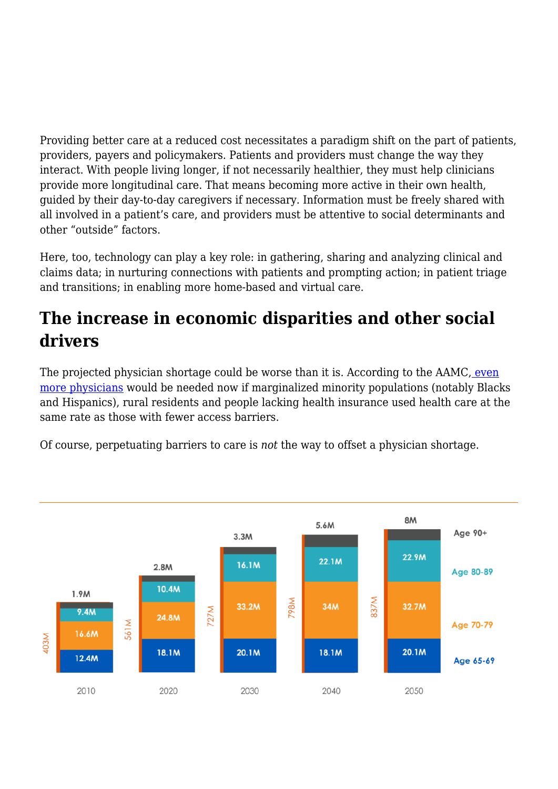Providing better care at a reduced cost necessitates a paradigm shift on the part of patients, providers, payers and policymakers. Patients and providers must change the way they interact. With people living longer, if not necessarily healthier, they must help clinicians provide more longitudinal care. That means becoming more active in their own health, guided by their day-to-day caregivers if necessary. Information must be freely shared with all involved in a patient's care, and providers must be attentive to social determinants and other "outside" factors.

Here, too, technology can play a key role: in gathering, sharing and analyzing clinical and claims data; in nurturing connections with patients and prompting action; in patient triage and transitions; in enabling more home-based and virtual care.

## **The increase in economic disparities and other social drivers**

The projected physician shortage could be worse than it is. According to the AAMC, [even](https://www.aamc.org/news-insights/press-releases/aamc-report-reinforces-mounting-physician-shortage) [more physicians](https://www.aamc.org/news-insights/press-releases/aamc-report-reinforces-mounting-physician-shortage) would be needed now if marginalized minority populations (notably Blacks and Hispanics), rural residents and people lacking health insurance used health care at the same rate as those with fewer access barriers.

Of course, perpetuating barriers to care is *not* the way to offset a physician shortage.

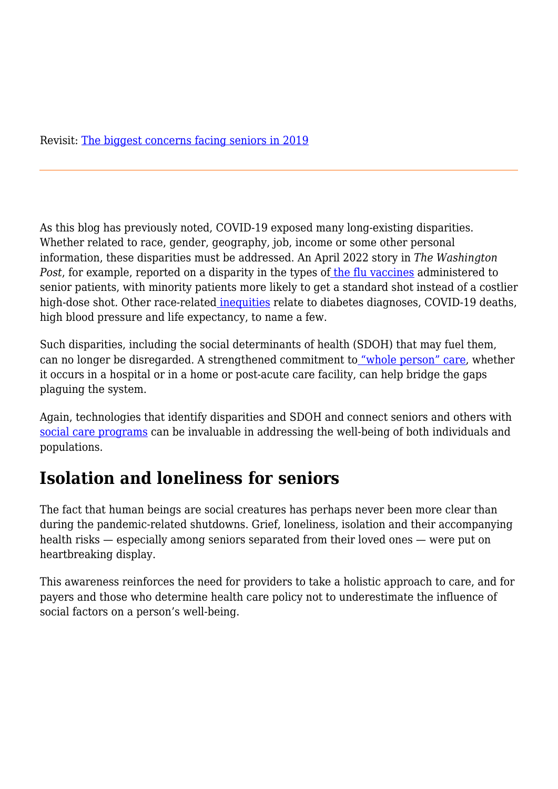As this blog has previously noted, COVID-19 exposed many long-existing disparities. Whether related to race, gender, geography, job, income or some other personal information, these disparities must be addressed. An April 2022 story in *The Washington Post*, for example, reported on a disparity in the types of [the flu vaccines](https://www.washingtonpost.com/health/2022/04/04/flu-vaccine-racial-disparity/) administered to senior patients, with minority patients more likely to get a standard shot instead of a costlier high-dose shot. Other race-relate[d inequities](https://navihealth.com/essentialinsights/peeling-back-the-layers-of-overlappi) relate to diabetes diagnoses, COVID-19 deaths, high blood pressure and life expectancy, to name a few.

Such disparities, including the social determinants of health (SDOH) that may fuel them, can no longer be disregarded. A strengthened commitment to ["whole person" care](https://navihealth.com/essentialinsights/the-importance-of-committing-to-whole-person-care/), whether it occurs in a hospital or in a home or post-acute care facility, can help bridge the gaps plaguing the system.

Again, technologies that identify disparities and SDOH and connect seniors and others with [social care programs](https://company.findhelp.com/) can be invaluable in addressing the well-being of both individuals and populations.

## **Isolation and loneliness for seniors**

The fact that human beings are social creatures has perhaps never been more clear than during the pandemic-related shutdowns. Grief, loneliness, isolation and their accompanying health risks — especially among seniors separated from their loved ones — were put on heartbreaking display.

This awareness reinforces the need for providers to take a holistic approach to care, and for payers and those who determine health care policy not to underestimate the influence of social factors on a person's well-being.